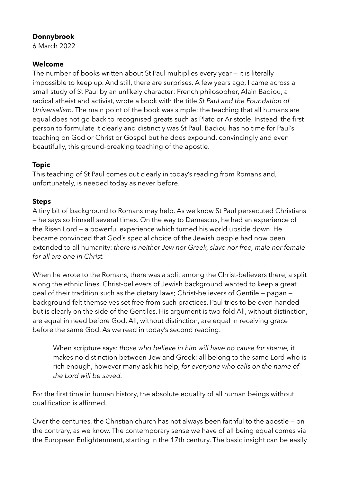## **Donnybrook**

6 March 2022

## **Welcome**

The number of books written about St Paul multiplies every year — it is literally impossible to keep up. And still, there are surprises. A few years ago, I came across a small study of St Paul by an unlikely character: French philosopher, Alain Badiou, a radical atheist and activist, wrote a book with the title *St Paul and the Foundation of Universalism*. The main point of the book was simple: the teaching that all humans are equal does not go back to recognised greats such as Plato or Aristotle. Instead, the first person to formulate it clearly and distinctly was St Paul. Badiou has no time for Paul's teaching on God or Christ or Gospel but he does expound, convincingly and even beautifully, this ground-breaking teaching of the apostle.

# **Topic**

This teaching of St Paul comes out clearly in today's reading from Romans and, unfortunately, is needed today as never before.

## **Steps**

A tiny bit of background to Romans may help. As we know St Paul persecuted Christians — he says so himself several times. On the way to Damascus, he had an experience of the Risen Lord — a powerful experience which turned his world upside down. He became convinced that God's special choice of the Jewish people had now been extended to all humanity: *there is neither Jew nor Greek, slave nor free, male nor female for all are one in Christ.* 

When he wrote to the Romans, there was a split among the Christ-believers there, a split along the ethnic lines. Christ-believers of Jewish background wanted to keep a great deal of their tradition such as the dietary laws; Christ-believers of Gentile — pagan background felt themselves set free from such practices. Paul tries to be even-handed but is clearly on the side of the Gentiles. His argument is two-fold All, without distinction, are equal in need before God. All, without distinction, are equal in receiving grace before the same God. As we read in today's second reading:

When scripture says: *those who believe in him will have no cause for shame,* it makes no distinction between Jew and Greek: all belong to the same Lord who is rich enough, however many ask his help, *for everyone who calls on the name of the Lord will be saved.*

For the first time in human history, the absolute equality of all human beings without qualification is affirmed.

Over the centuries, the Christian church has not always been faithful to the apostle — on the contrary, as we know. The contemporary sense we have of all being equal comes via the European Enlightenment, starting in the 17th century. The basic insight can be easily